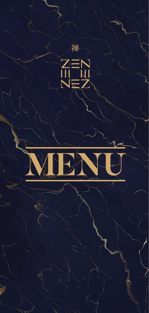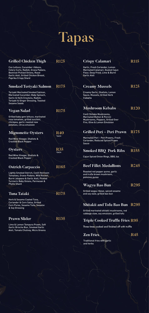# Tapas

| <b>Grilled Chicken Thigh</b>                                                                                                                                             | R <sub>125</sub> | <b>Crispy Calamari</b>                                                                                                                | R <sub>115</sub> |
|--------------------------------------------------------------------------------------------------------------------------------------------------------------------------|------------------|---------------------------------------------------------------------------------------------------------------------------------------|------------------|
| Cos Lettuce, Cucumber ribbons,<br>Celery Curls, Radish, Grana Padano,<br>Beetroot Pickled Onions, Roast<br>Garlic Aioli, Grilled Chicken Breast,<br>Paprika Crispy Shard |                  | Garlic, Fresh Coriander, Lemon<br>Marinated Calamari, Dusted Cajun<br>Flour, Deep Fried, Lime & Burnt<br>Garlic Aioli                 |                  |
| Smoked Teriyaki Salmon                                                                                                                                                   | R <sub>175</sub> | <b>Creamy Mussels</b>                                                                                                                 | R <sub>125</sub> |
| Teriyaki Marinated Smoked Salmon,<br>Marinated Cucumber, Baby Spinach,<br>Garlic & Herb Croutons, Radish,<br>Teriyaki & Ginger Dressing, Toasted<br><b>Sesame Seeds</b>  |                  | Creamy Garlic, Shallots, Lemon<br>Sauce, Mussels, Grilled Herb<br>Ciabatta                                                            |                  |
| Vegan Salad                                                                                                                                                              | R <sub>175</sub> | <b>Mushroom Kebabs</b>                                                                                                                | <b>R120</b>      |
| Grilled baby gem lettuce, marinated<br>rosa tomatoes, grilled zucchini,<br>chickpea, garlic roasted new<br>potatoes, citrus emulsion                                     |                  | Con(t Shitake Mushrooms,<br><b>Marinated Button &amp; Porcini</b><br>Mushrooms, Peppers, Grilled Over<br>Fire, Olive & Lemon Emulsion |                  |
| <b>Mignonette Oysters</b>                                                                                                                                                | R40              | Grilled Peri – Peri Prawn                                                                                                             | <b>R175</b>      |
| Red Wine Vinegar, Shallots &<br><b>Cracked Black Pepper</b>                                                                                                              | *EACH            | Marinated Peri - Peri Prawns, Fresh<br><b>Coriander, Reduced Spiced Prawn</b><br>Sauce                                                |                  |
| Oysters                                                                                                                                                                  | R35<br>*EACH     | <b>Smoked BBQ Pork Ribs</b>                                                                                                           | R <sub>155</sub> |
| Red Wine Vinegar, Shallots &<br><b>Cracked Black Pepper</b>                                                                                                              |                  | Cajun Spiced Onion Rings, BBQ Jus                                                                                                     |                  |
| <b>Ostrich Carpaccio</b>                                                                                                                                                 | R165             | <b>Beef Fillet Medallions</b>                                                                                                         | R <sub>245</sub> |
| Lightly Smoked Ostrich, Con(t Heirloom<br>Tomatoes, Grana-Padano, Wild Rocket,<br>Burnt Jalapeno & Garlic Aioli, Pickled<br>Turmeric Baby Onions, Parmesan &             |                  | Roasted red pepper puree, garlic<br>and truf)e brown mushroom,<br>pommes puree                                                        |                  |
| <b>Phyllo Shard</b>                                                                                                                                                      |                  | Wagyu Bao Bun                                                                                                                         | R <sub>295</sub> |
| Tuna Tataki                                                                                                                                                              | R175             | Grilled wagyu ribeye, spiced sesame<br>and soy slaw, grilled bao bun                                                                  |                  |
| Herb & Sesame Coated Tuna,<br>Coriander & Corn Salsa, Grilled                                                                                                            |                  |                                                                                                                                       |                  |
| Corn Puree, Sesame Tuile, Sesame<br>& Soy Dressing                                                                                                                       |                  | Shitakii and Tofu Bao Bun                                                                                                             | R <sub>295</sub> |
|                                                                                                                                                                          |                  | Grilled marinated shitakii mushrooms, red<br>cabbage slaw, soy emulsion, grilled tofu                                                 |                  |
| Prawn Slider                                                                                                                                                             | R135             | <b>Triple Cooked Truffle Fries R95</b>                                                                                                |                  |
| Lime & Lemon Tempura Prawn, Soft<br>Garlic Brioche Bun, Smoked Garlic<br>Aioli, Tomato Chutney, Micro Greens                                                             |                  | Three times cooked and finished off with truffle                                                                                      |                  |
|                                                                                                                                                                          |                  | <b>Zen Fries</b>                                                                                                                      | R45              |
|                                                                                                                                                                          |                  | Traditional fries with garlic<br>and herbs                                                                                            |                  |
|                                                                                                                                                                          |                  |                                                                                                                                       |                  |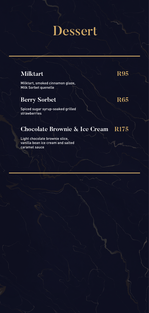### Dessert

#### **Milktart R95**

Milktart, smoked cinnamon glaze, Milk Sorbet quenelle

#### **Berry Sorbet R65**

Spiced sugar syrup-soaked grilled strawberries

#### **Chocolate Brownie & Ice Cream R175**

Light chocolate brownie slice, vanilla bean ice cream and salted caramel sauce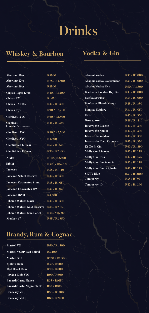## Drinks

### **Whiskey & Bourbon Vodka & Gin**

| Aberlour 16yr                      | <b>R4500</b>                           | <b>Absolut Vodka</b>            | R33 / R1,000                          |
|------------------------------------|----------------------------------------|---------------------------------|---------------------------------------|
| Aberlour 12yr                      | R78/R2,300                             | <b>Absolut Vodka Watermelon</b> | R33 / R1,000                          |
| Aberlour 16yr                      | <b>R4500</b>                           | <b>Absolut Vodka Elyx</b>       | R50 / R1,500                          |
| <b>Chivas Regal 12yrs</b>          | R <sub>40</sub> / R <sub>1</sub> ,200  | <b>Beefeater London Dry Gin</b> | R33 / R1,000                          |
| Chivas XV                          | R <sub>1</sub> .650                    | <b>Beefeater Pink</b>           | R33 / R1,000                          |
| <b>Chivas EXTRA</b>                | R <sub>45</sub> / R <sub>1</sub> , 350 | <b>Beefeater Blood Orange</b>   | R <sub>45</sub> / R <sub>1</sub> ,350 |
| Chivas 18yr                        | R90/R2,700                             | <b>Bombay Saphire</b>           | R34 / R1,050                          |
| <b>Glenlivet 12YO</b>              | R60 / R1.800                           | <b>Ciroc</b>                    | R <sub>45</sub> / R <sub>1</sub> ,350 |
| <b>Glenlivet</b>                   | R45 / R1,350                           | Grey goose                      | R <sub>48</sub> / R <sub>1</sub> ,440 |
| <b>Founder's Reserve</b>           |                                        | <b>Inverroche Classic</b>       | R <sub>45</sub> / R <sub>1</sub> ,350 |
| <b>Glenlivet 15YO</b>              | R90 / R2.700                           | <b>Inverroche Amber</b>         | R45 / R1,350                          |
|                                    |                                        | <b>Inverroche Verdant</b>       | R <sub>45</sub> / R <sub>1</sub> ,350 |
| <b>Glenlivet 18YO</b>              | <b>R4.500</b>                          | <b>Inverroche Coco Capensis</b> | R45 / R1,350                          |
| <b>Glenfiddich 12 Year</b>         | R55 / R1,650                           | Ki No Bi Gin                    | R63 / R1,890                          |
| <b>Glenfiddich 15 Year</b>         | R95 / R2,850                           | <b>Malfy Con Limone</b>         | R42 / R1,275                          |
| Nikka                              | R <sub>110</sub> / R <sub>3</sub> ,300 | <b>Malfy Gin Rosa</b>           | R42 / R1,275                          |
| Hibiki                             | R <sub>200</sub> / R <sub>6</sub> ,000 | Malfy Gin Con Arancia           | R42 / R1,275                          |
| Jameson                            | R38 / R1,140                           | <b>Malfy Gin Con Originale</b>  | R42 / R1,275                          |
| <b>Jameson Select Reserve</b>      | R <sub>45</sub> / R <sub>1</sub> ,350  | <b>SKYY Blue</b>                | R33 / R1,000                          |
|                                    |                                        | <b>Tanqueray</b>                | <b>R25/R750</b>                       |
| <b>Jameson Caskmates Stout</b>     | R35 / R1,050                           | <b>Tanqueray 10</b>             | R42 / R1,260                          |
| <b>Jameson Caskmates IPA</b>       | R35 / R1.050                           |                                 |                                       |
| Jameson 18YO                       | <b>R4.500</b>                          |                                 |                                       |
| <b>Johnnie Walker Black</b>        | R <sub>45</sub> / R <sub>1</sub> ,350  |                                 |                                       |
| <b>Johnnie Walker Gold Reserve</b> | R85 / R2,550                           |                                 |                                       |
| Johnnie Walker Blue Label          | R <sub>265</sub> / R <sub>7</sub> ,950 |                                 |                                       |
| Monkey 47                          | R95 / R2 850                           |                                 |                                       |

| <b>R4500</b>        | Absolut Vodka                   | R33 / R1,000                          |
|---------------------|---------------------------------|---------------------------------------|
| R78/R2,300          | Absolut Vodka Watermelon        | R33 / R1,000                          |
| <b>R4500</b>        | <b>Absolut Vodka Elyx</b>       | R50 / R1,500                          |
| R40 / R1,200        | Beefeater London Dry Gin        | R33 / R1,000                          |
| R <sub>1</sub> ,650 | <b>Beefeater Pink</b>           | R33 / R1,000                          |
| R45 / R1,350        | <b>Beefeater Blood Orange</b>   | R <sub>45</sub> / R <sub>1</sub> ,350 |
| R90 / R2,700        | <b>Bombay Saphire</b>           | R34 / R1,050                          |
| R60 / R1,800        | Ciroc                           | R <sub>45</sub> / R <sub>1</sub> ,350 |
| R45 / R1,350        | Grey goose                      | R48 / R1,440                          |
|                     | <b>Inverroche Classic</b>       | R <sub>45</sub> / R <sub>1</sub> ,350 |
| R90 / R2,700        | <b>Inverroche Amber</b>         | R <sub>45</sub> / R <sub>1</sub> ,350 |
|                     | <b>Inverroche Verdant</b>       | R45 / R1,350                          |
| R4,500              | <b>Inverroche Coco Capensis</b> | R <sub>45</sub> / R <sub>1</sub> ,350 |
| R55 / R1,650        | Ki No Bi Gin                    | R63 / R1.890                          |
| R95 / R2,850        | <b>Malfy Con Limone</b>         | R <sub>42</sub> / R <sub>1</sub> ,275 |
| R110 / R3,300       | <b>Malfy Gin Rosa</b>           | R42 / R1,275                          |
| R200 / R6,000       | <b>Malfy Gin Con Arancia</b>    | R42 / R1,275                          |
| R38 / R1,140        | <b>Malfy Gin Con Originale</b>  | R42 / R1,275                          |
|                     | <b>SKYY Blue</b>                | R33 / R1,000                          |
| R45 / R1,350        | <b>Tanqueray</b>                | R <sub>25</sub> / R <sub>750</sub>    |
| R35 / R1,050        | <b>Tanqueray 10</b>             | R42 / R1,260                          |
|                     |                                 |                                       |

### **Brandy, Rum & Cognac**

| <b>Martell VS</b>              | R50 / R1.500                           |
|--------------------------------|----------------------------------------|
| <b>Martell VSOP Red Barrel</b> | R <sub>2</sub> .400                    |
| Martell XO                     | R <sub>250</sub> / R <sub>7</sub> ,500 |
| <b>Malibu Rum</b>              | R <sub>20</sub> / R <sub>600</sub>     |
| <b>Red Heart Rum</b>           | <b>R20 / R600</b>                      |
| Havana Club 3YO                | R90 / R600                             |
| Bacardi Carta Blanca           | R <sub>35</sub> / R <sub>1050</sub>    |
| Bacardi Carta Negra Black      | R <sub>35</sub> / R <sub>1050</sub>    |
| <b>Hennessy VS</b>             | <b>R50 / R1500</b>                     |
| <b>Hennessy VSOP</b>           | <b>R80 / R2400</b>                     |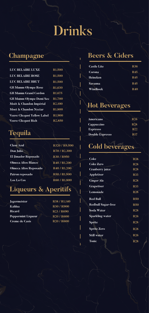## Drinks

#### **Champagne**

| <b>LUC BELAIRE LUXE</b>            | R <sub>1</sub> .500 |
|------------------------------------|---------------------|
| <b>LUC BELAIRE ROSE</b>            | R1,500              |
| <b>LUC BELAIRE BRUT</b>            | R <sub>1.500</sub>  |
| <b>GH Mumm Olympe Rose</b>         | R <sub>1</sub> ,630 |
| <b>GH Mumm Grand Cordon</b>        | R <sub>1</sub> .675 |
| <b>GH Mumm Olympe Demi Sec</b>     | <b>R1.700</b>       |
| Moët & Chandon Impérial            | R <sub>2</sub> .100 |
| Moet & Chandon Nectar              | <b>R1.800</b>       |
| <b>Veuve Clicquot Yellow Label</b> | R <sub>1.900</sub>  |
| <b>Veuve Clicquot Rich</b>         | R <sub>2</sub> .850 |

### **Tequila**

| <b>Clase Azul</b>          | R320 / R9.500                         |
|----------------------------|---------------------------------------|
| Don Julio                  | R70 / R2,300                          |
| <b>El Jimador Reposado</b> | <b>R30 / R950</b>                     |
| <b>Olmeca Altos Blanco</b> | R <sub>40</sub> / R <sub>1</sub> ,200 |
| Olmeca Altos Reposado      | R <sub>40</sub> / R <sub>1</sub> ,200 |
| Patron reposado            | R50 / R1,500                          |
| <b>Los Lo Cos</b>          | R60 / R1,800                          |

#### **Liqueurs & Aperitifs**

| Jagermeister          |
|-----------------------|
| Kahlua                |
| <b>Ricard</b>         |
| Peppermint Liqueur    |
| <b>Creme de Casis</b> |

**Kahlua R30 / R900 Ricard R23 / R690 R20 / R600 Creme de Casis R20 / R600 Jagermeister R38 / R1,140**

#### **Beers & Ciders**

| <b>Castle Lite</b> | <b>R36</b> |
|--------------------|------------|
| Corona             | <b>R45</b> |
| Heineken           | <b>R45</b> |
| <b>Savanna</b>     | <b>R45</b> |
| Windhoek           | <b>R40</b> |

#### **Hot Beverages**

| Americano       | <b>R26</b> |
|-----------------|------------|
| Cappuccino      | <b>R28</b> |
| <b>Espresso</b> | <b>R22</b> |
| Double Espresso | <b>R17</b> |

### **Cold beverages**

| <b>Coke</b>               | <b>R28</b> |
|---------------------------|------------|
| <b>Coke Zero</b>          | <b>R28</b> |
| Cranberry juice           | <b>R28</b> |
| <b>Appletiser</b>         | <b>R33</b> |
| <b>Ginger Ale</b>         | <b>R28</b> |
| <b>Grapetiser</b>         | <b>R33</b> |
| Lemonade                  | <b>R28</b> |
| <b>Red Bull</b>           | <b>R50</b> |
| <b>Redbull Sugar-free</b> | <b>R50</b> |
| Soda Water                | <b>R28</b> |
| <b>Sparkling water</b>    | <b>R26</b> |
| <b>Sprite</b>             | <b>R28</b> |
| <b>Sprite Zero</b>        | <b>R28</b> |
| <b>Still water</b>        | <b>R26</b> |
| Tonic                     | <b>R28</b> |
|                           |            |